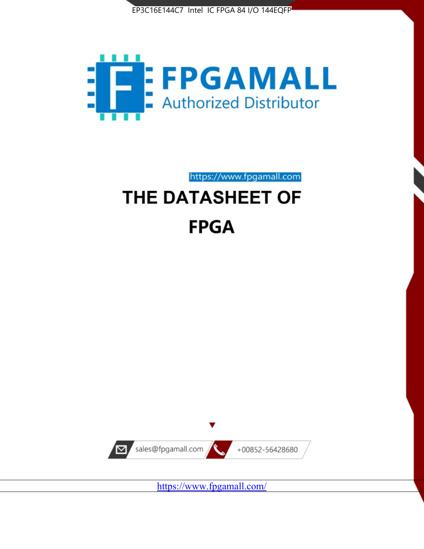



https://www.fpgamall.com

# THE DATASHEET OF **FPGA**



<https://www.fpgamall.com/>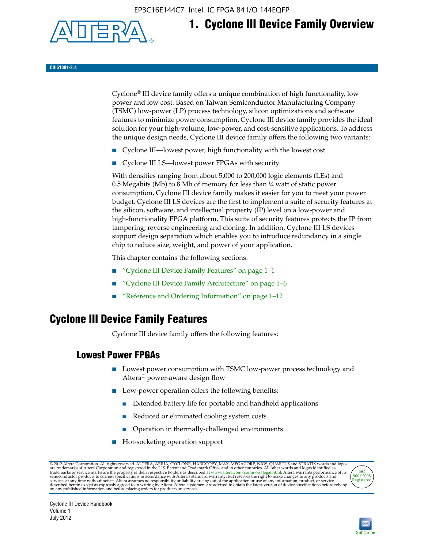EP3C16E144C7 Intel IC FPGA 84 I/O 144EQFP



# **1. Cyclone III Device Family Overview**

#### **CIII51001-2.4**

Cyclone® III device family offers a unique combination of high functionality, low power and low cost. Based on Taiwan Semiconductor Manufacturing Company (TSMC) low-power (LP) process technology, silicon optimizations and software features to minimize power consumption, Cyclone III device family provides the ideal solution for your high-volume, low-power, and cost-sensitive applications. To address the unique design needs, Cyclone III device family offers the following two variants:

- Cyclone III—lowest power, high functionality with the lowest cost
- Cyclone III LS—lowest power FPGAs with security

With densities ranging from about 5,000 to 200,000 logic elements (LEs) and 0.5 Megabits (Mb) to 8 Mb of memory for less than  $\frac{1}{4}$  watt of static power consumption, Cyclone III device family makes it easier for you to meet your power budget. Cyclone III LS devices are the first to implement a suite of security features at the silicon, software, and intellectual property (IP) level on a low-power and high-functionality FPGA platform. This suite of security features protects the IP from tampering, reverse engineering and cloning. In addition, Cyclone III LS devices support design separation which enables you to introduce redundancy in a single chip to reduce size, weight, and power of your application.

This chapter contains the following sections:

- "Cyclone III Device Family Features" on page 1–1
- "Cyclone III Device Family Architecture" on page 1–6
- "Reference and Ordering Information" on page 1–12

## **Cyclone III Device Family Features**

Cyclone III device family offers the following features:

#### **Lowest Power FPGAs**

- Lowest power consumption with TSMC low-power process technology and Altera® power-aware design flow
- Low-power operation offers the following benefits:
	- Extended battery life for portable and handheld applications
	- Reduced or eliminated cooling system costs
	- Operation in thermally-challenged environments
- Hot-socketing operation support

@ 2012 Altera Corporation. All rights reserved. ALTERA, ARRIA, CYCLONE, HARDCOPY, MAX, MEGACORE, NIOS, QUARTUS and STRATIX words and logos are trademarks of Altera Corporation and registered in the U.S. Patent and Trademar



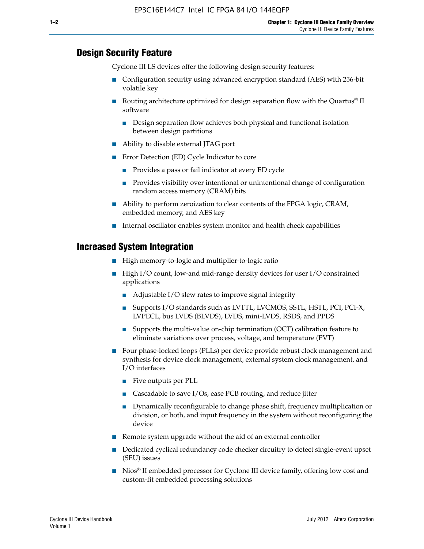#### **Design Security Feature**

Cyclone III LS devices offer the following design security features:

- Configuration security using advanced encryption standard (AES) with 256-bit volatile key
- **■** Routing architecture optimized for design separation flow with the Quartus<sup>®</sup> II software
	- Design separation flow achieves both physical and functional isolation between design partitions
- Ability to disable external JTAG port
- Error Detection (ED) Cycle Indicator to core
	- Provides a pass or fail indicator at every ED cycle
	- Provides visibility over intentional or unintentional change of configuration random access memory (CRAM) bits
- Ability to perform zeroization to clear contents of the FPGA logic, CRAM, embedded memory, and AES key
- Internal oscillator enables system monitor and health check capabilities

#### **Increased System Integration**

- High memory-to-logic and multiplier-to-logic ratio
- High I/O count, low-and mid-range density devices for user I/O constrained applications
	- Adjustable I/O slew rates to improve signal integrity
	- Supports I/O standards such as LVTTL, LVCMOS, SSTL, HSTL, PCI, PCI-X, LVPECL, bus LVDS (BLVDS), LVDS, mini-LVDS, RSDS, and PPDS
	- Supports the multi-value on-chip termination (OCT) calibration feature to eliminate variations over process, voltage, and temperature (PVT)
- Four phase-locked loops (PLLs) per device provide robust clock management and synthesis for device clock management, external system clock management, and I/O interfaces
	- Five outputs per PLL
	- Cascadable to save I/Os, ease PCB routing, and reduce jitter
	- Dynamically reconfigurable to change phase shift, frequency multiplication or division, or both, and input frequency in the system without reconfiguring the device
- Remote system upgrade without the aid of an external controller
- Dedicated cyclical redundancy code checker circuitry to detect single-event upset (SEU) issues
- Nios<sup>®</sup> II embedded processor for Cyclone III device family, offering low cost and custom-fit embedded processing solutions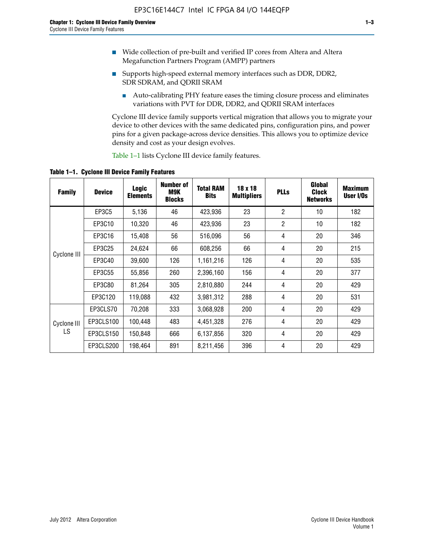- Wide collection of pre-built and verified IP cores from Altera and Altera Megafunction Partners Program (AMPP) partners
- Supports high-speed external memory interfaces such as DDR, DDR2, SDR SDRAM, and QDRII SRAM
	- Auto-calibrating PHY feature eases the timing closure process and eliminates variations with PVT for DDR, DDR2, and QDRII SRAM interfaces

Cyclone III device family supports vertical migration that allows you to migrate your device to other devices with the same dedicated pins, configuration pins, and power pins for a given package-across device densities. This allows you to optimize device density and cost as your design evolves.

Table 1–1 lists Cyclone III device family features.

**Table 1–1. Cyclone III Device Family Features**

| <b>Family</b> | <b>Device</b> | <b>Logic</b><br><b>Elements</b> | Number of<br>M9K<br><b>Blocks</b> | <b>Total RAM</b><br><b>Bits</b> | 18 x 18<br><b>Multipliers</b> | <b>PLLs</b>    | Global<br><b>Clock</b><br><b>Networks</b> | <b>Maximum</b><br>User I/Os |
|---------------|---------------|---------------------------------|-----------------------------------|---------------------------------|-------------------------------|----------------|-------------------------------------------|-----------------------------|
|               | <b>EP3C5</b>  | 5,136                           | 46                                | 423,936                         | 23                            | $\overline{2}$ | 10                                        | 182                         |
|               | EP3C10        | 10,320                          | 46                                | 423,936                         | 23                            | $\overline{2}$ | 10                                        | 182                         |
|               | EP3C16        | 15,408                          | 56                                | 516,096                         | 56                            | 4              | 20                                        | 346                         |
| Cyclone III   | EP3C25        | 24,624                          | 66                                | 608,256                         | 66                            | 4              | 20                                        | 215                         |
|               | EP3C40        | 39,600                          | 126                               | 1,161,216                       | 126                           | $\overline{4}$ | 20                                        | 535                         |
|               | EP3C55        | 55,856                          | 260                               | 2,396,160                       | 156                           | 4              | 20                                        | 377                         |
|               | EP3C80        | 81,264                          | 305                               | 2,810,880                       | 244                           | 4              | 20                                        | 429                         |
|               | EP3C120       | 119,088                         | 432                               | 3,981,312                       | 288                           | 4              | 20                                        | 531                         |
|               | EP3CLS70      | 70,208                          | 333                               | 3,068,928                       | 200                           | $\overline{4}$ | 20                                        | 429                         |
| Cyclone III   | EP3CLS100     | 100,448                         | 483                               | 4,451,328                       | 276                           | 4              | 20                                        | 429                         |
| LS            | EP3CLS150     | 150,848                         | 666                               | 6,137,856                       | 320                           | 4              | 20                                        | 429                         |
|               | EP3CLS200     | 198,464                         | 891                               | 8,211,456                       | 396                           | 4              | 20                                        | 429                         |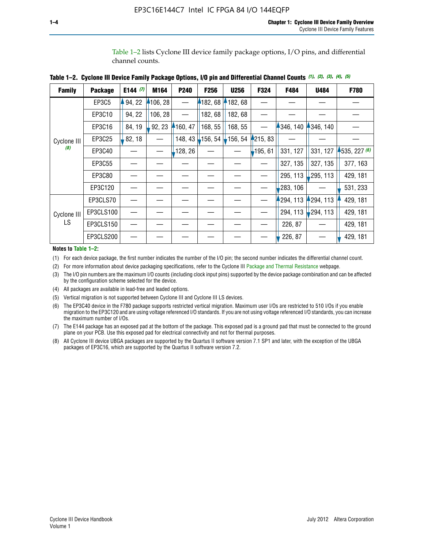Table 1–2 lists Cyclone III device family package options, I/O pins, and differential channel counts.

|  |  |  | Table 1–2. Cyclone III Device Family Package Options, I/O pin and Differential Channel Counts (1), (2), (3), (4), (5) |  |  |  |  |
|--|--|--|-----------------------------------------------------------------------------------------------------------------------|--|--|--|--|
|--|--|--|-----------------------------------------------------------------------------------------------------------------------|--|--|--|--|

| <b>Family</b>     | <b>Package</b> | E144 $(7)$ | M164     | P <sub>240</sub> | F256                                              | <b>U256</b> | F324     | F484     | U484        | F780           |
|-------------------|----------------|------------|----------|------------------|---------------------------------------------------|-------------|----------|----------|-------------|----------------|
|                   | EP3C5          | 94, 22     | 4106, 28 |                  | 182,68                                            | 182,68      |          |          |             |                |
|                   | EP3C10         | 94, 22     | 106, 28  |                  | 182, 68                                           | 182, 68     |          |          |             |                |
|                   | EP3C16         | 84, 19     | 92, 23   | 160, 47          | 168, 55                                           | 168, 55     |          | 346, 140 | 4346, 140   |                |
| Cyclone III       | EP3C25         | 82, 18     |          |                  | 148, 43 $\downarrow$ 156, 54 $\downarrow$ 156, 54 |             | 4215, 83 |          |             |                |
| (8)               | EP3C40         |            |          | 128, 26          |                                                   |             | 195, 61  | 331, 127 | 331, 127    | $-535, 227(6)$ |
|                   | EP3C55         |            |          |                  |                                                   |             |          | 327, 135 | 327, 135    | 377, 163       |
|                   | EP3C80         |            |          |                  |                                                   |             |          | 295, 113 | ,295, 113   | 429, 181       |
|                   | EP3C120        |            |          |                  |                                                   |             |          | 283, 106 |             | 531, 233       |
|                   | EP3CLS70       |            |          |                  |                                                   |             |          | 294, 113 | $-294, 113$ | 429, 181       |
| Cyclone III<br>LS | EP3CLS100      |            |          |                  |                                                   |             |          | 294, 113 | $-294, 113$ | 429, 181       |
|                   | EP3CLS150      |            |          |                  |                                                   |             |          | 226, 87  |             | 429, 181       |
|                   | EP3CLS200      |            |          |                  |                                                   |             |          | 226, 87  |             | 429, 181       |

**Notes to Table 1–2:**

(1) For each device package, the first number indicates the number of the I/O pin; the second number indicates the differential channel count.

(2) For more information about device packaging specifications, refer to the Cyclone III [Package and Thermal Resistance](http://www.altera.com/support/devices/packaging/specifications/pkg-pin/dev-package-listing.jsp?device=Cyclone_III) webpage.

(3) The I/O pin numbers are the maximum I/O counts (including clock input pins) supported by the device package combination and can be affected by the configuration scheme selected for the device.

(4) All packages are available in lead-free and leaded options.

(5) Vertical migration is not supported between Cyclone III and Cyclone III LS devices.

(6) The EP3C40 device in the F780 package supports restricted vertical migration. Maximum user I/Os are restricted to 510 I/Os if you enable migration to the EP3C120 and are using voltage referenced I/O standards. If you are not using voltage referenced I/O standards, you can increase the maximum number of I/Os.

(7) The E144 package has an exposed pad at the bottom of the package. This exposed pad is a ground pad that must be connected to the ground plane on your PCB. Use this exposed pad for electrical connectivity and not for thermal purposes.

(8) All Cyclone III device UBGA packages are supported by the Quartus II software version 7.1 SP1 and later, with the exception of the UBGA packages of EP3C16, which are supported by the Quartus II software version 7.2.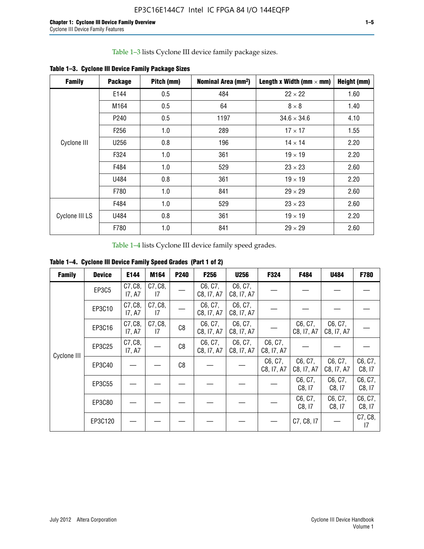Table 1–3 lists Cyclone III device family package sizes.

| <b>Family</b>  | <b>Package</b>   | Pitch (mm) | Nominal Area (mm <sup>2</sup> ) | Length x Width (mm $\times$ mm) | Height (mm) |
|----------------|------------------|------------|---------------------------------|---------------------------------|-------------|
|                | E144             | 0.5        | 484                             | $22 \times 22$                  | 1.60        |
|                | M164             | 0.5        | 64                              | $8 \times 8$                    | 1.40        |
|                | P <sub>240</sub> | 0.5        | 1197                            | $34.6 \times 34.6$              | 4.10        |
| Cyclone III    | F <sub>256</sub> | 1.0        | 289                             | $17 \times 17$                  | 1.55        |
|                | U256             | 0.8        | 196                             | $14 \times 14$                  | 2.20        |
|                | F324             | 1.0        | 361                             | $19 \times 19$                  | 2.20        |
|                | F484             | 1.0        | 529                             | $23 \times 23$                  | 2.60        |
|                | U484             | 0.8        | 361                             | $19 \times 19$                  | 2.20        |
|                | F780             | 1.0        | 841                             | $29 \times 29$                  | 2.60        |
|                | F484             | 1.0        | 529                             | $23 \times 23$                  | 2.60        |
| Cyclone III LS | U484             | 0.8        | 361                             | $19 \times 19$                  | 2.20        |
|                | F780             | 1.0        | 841                             | $29 \times 29$                  | 2.60        |

**Table 1–3. Cyclone III Device Family Package Sizes**

Table 1–4 lists Cyclone III device family speed grades.

**Table 1–4. Cyclone III Device Family Speed Grades (Part 1 of 2)**

| <b>Family</b> | <b>Device</b> | E144              | M164          | <b>P240</b> | <b>F256</b>           | <b>U256</b>           | F324                  | F484                  | U484                  | <b>F780</b>       |
|---------------|---------------|-------------------|---------------|-------------|-----------------------|-----------------------|-----------------------|-----------------------|-----------------------|-------------------|
| Cyclone III   | EP3C5         | C7, C8,<br>17, A7 | C7, C8,<br>17 |             | C6, C7,<br>C8, I7, A7 | C6, C7,<br>C8, I7, A7 |                       |                       |                       |                   |
|               | EP3C10        | C7, C8,<br>17, A7 | C7, C8,<br>17 |             | C6, C7,<br>C8, I7, A7 | C6, C7,<br>C8, I7, A7 |                       |                       |                       |                   |
|               | EP3C16        | C7, C8,<br>17, A7 | C7, C8,<br>17 | C8          | C6, C7,<br>C8, I7, A7 | C6, C7,<br>C8, I7, A7 |                       | C6, C7,<br>C8, I7, A7 | C6, C7,<br>C8, I7, A7 |                   |
|               | EP3C25        | C7, C8,<br>17, A7 |               | C8          | C6, C7,<br>C8, I7, A7 | C6, C7,<br>C8, I7, A7 | C6, C7,<br>C8, I7, A7 |                       |                       |                   |
|               | EP3C40        |                   |               | C8          |                       |                       | C6, C7,<br>C8, I7, A7 | C6, C7,<br>C8, I7, A7 | C6, C7,<br>C8, I7, A7 | C6, C7,<br>C8, 17 |
|               | EP3C55        |                   |               |             |                       |                       |                       | C6, C7,<br>C8, I7     | C6, C7,<br>C8, 17     | C6, C7,<br>C8, 17 |
|               | EP3C80        |                   |               |             |                       |                       |                       | C6, C7,<br>C8, 17     | C6, C7,<br>C8, 17     | C6, C7,<br>C8, 17 |
|               | EP3C120       |                   |               |             |                       |                       |                       | C7, C8, I7            |                       | C7, C8,<br>17     |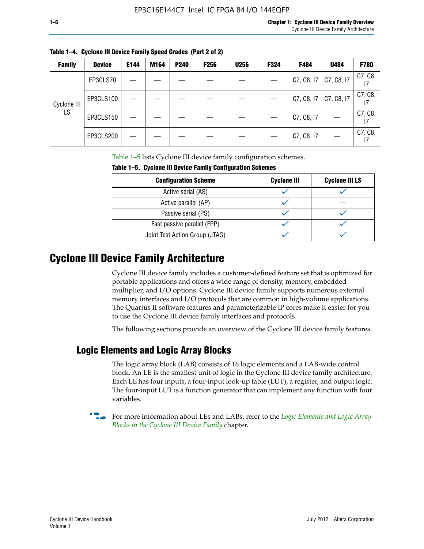| <b>Family</b> | <b>Device</b> | E144 | M164 | P <sub>240</sub> | <b>F256</b> | <b>U256</b> | F324 | F484       | U484       | F780    |
|---------------|---------------|------|------|------------------|-------------|-------------|------|------------|------------|---------|
|               | EP3CLS70      |      |      |                  |             |             |      | C7, C8, I7 | C7, C8, I7 | C7, C8, |
| Cyclone III   | EP3CLS100     |      |      |                  |             |             |      | C7, C8, 17 | C7, C8, I7 | C7, C8, |
| LS            | EP3CLS150     |      |      |                  |             |             |      | C7, C8, I7 |            | C7, C8, |
|               | EP3CLS200     |      |      |                  |             |             |      | C7, C8, I7 |            | C7, C8, |

**Table 1–4. Cyclone III Device Family Speed Grades (Part 2 of 2)**

Table 1–5 lists Cyclone III device family configuration schemes.

| <b>IQUIE 1-3. CYCLUILE III DEVICE FAILIIV CUILILUILATION SCIIENIES</b> |                    |                       |  |  |
|------------------------------------------------------------------------|--------------------|-----------------------|--|--|
| <b>Configuration Scheme</b>                                            | <b>Cyclone III</b> | <b>Cyclone III LS</b> |  |  |
| Active serial (AS)                                                     |                    |                       |  |  |
| Active parallel (AP)                                                   |                    |                       |  |  |
| Passive serial (PS)                                                    |                    |                       |  |  |
| Fast passive parallel (FPP)                                            |                    |                       |  |  |
| Joint Test Action Group (JTAG)                                         |                    |                       |  |  |

**Table 1–5. Cyclone III Device Family Configuration Schemes**

## **Cyclone III Device Family Architecture**

Cyclone III device family includes a customer-defined feature set that is optimized for portable applications and offers a wide range of density, memory, embedded multiplier, and I/O options. Cyclone III device family supports numerous external memory interfaces and I/O protocols that are common in high-volume applications. The Quartus II software features and parameterizable IP cores make it easier for you to use the Cyclone III device family interfaces and protocols.

The following sections provide an overview of the Cyclone III device family features.

#### **Logic Elements and Logic Array Blocks**

The logic array block (LAB) consists of 16 logic elements and a LAB-wide control block. An LE is the smallest unit of logic in the Cyclone III device family architecture. Each LE has four inputs, a four-input look-up table (LUT), a register, and output logic. The four-input LUT is a function generator that can implement any function with four variables.

f For more information about LEs and LABs, refer to the *[Logic Elements and Logic Array](http://www.altera.com/literature/hb/cyc3/cyc3_ciii51002.pdf)  [Blocks in the Cyclone III Device Family](http://www.altera.com/literature/hb/cyc3/cyc3_ciii51002.pdf)* chapter.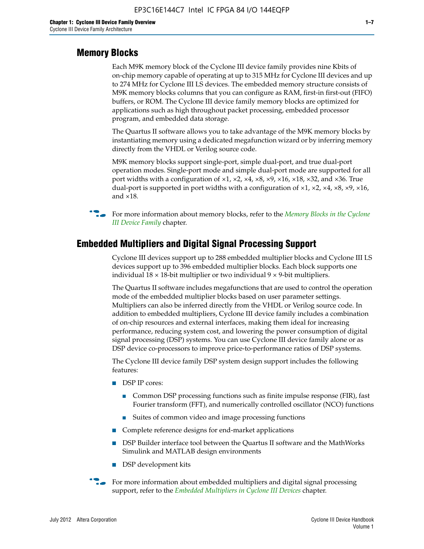#### **Memory Blocks**

Each M9K memory block of the Cyclone III device family provides nine Kbits of on-chip memory capable of operating at up to 315 MHz for Cyclone III devices and up to 274 MHz for Cyclone III LS devices. The embedded memory structure consists of M9K memory blocks columns that you can configure as RAM, first-in first-out (FIFO) buffers, or ROM. The Cyclone III device family memory blocks are optimized for applications such as high throughout packet processing, embedded processor program, and embedded data storage.

The Quartus II software allows you to take advantage of the M9K memory blocks by instantiating memory using a dedicated megafunction wizard or by inferring memory directly from the VHDL or Verilog source code.

M9K memory blocks support single-port, simple dual-port, and true dual-port operation modes. Single-port mode and simple dual-port mode are supported for all port widths with a configuration of  $\times1$ ,  $\times2$ ,  $\times4$ ,  $\times8$ ,  $\times9$ ,  $\times16$ ,  $\times18$ ,  $\times32$ , and  $\times36$ . True dual-port is supported in port widths with a configuration of  $\times$ 1,  $\times$ 2,  $\times$ 4,  $\times$ 8,  $\times$ 9,  $\times$ 16, and ×18.



**For more information about memory blocks, refer to the** *Memory Blocks in the Cyclone [III Device Family](http://www.altera.com/literature/hb/cyc3/cyc3_ciii51004.pdf)* chapter.

#### **Embedded Multipliers and Digital Signal Processing Support**

Cyclone III devices support up to 288 embedded multiplier blocks and Cyclone III LS devices support up to 396 embedded multiplier blocks. Each block supports one individual  $18 \times 18$ -bit multiplier or two individual  $9 \times 9$ -bit multipliers.

The Quartus II software includes megafunctions that are used to control the operation mode of the embedded multiplier blocks based on user parameter settings. Multipliers can also be inferred directly from the VHDL or Verilog source code. In addition to embedded multipliers, Cyclone III device family includes a combination of on-chip resources and external interfaces, making them ideal for increasing performance, reducing system cost, and lowering the power consumption of digital signal processing (DSP) systems. You can use Cyclone III device family alone or as DSP device co-processors to improve price-to-performance ratios of DSP systems.

The Cyclone III device family DSP system design support includes the following features:

- DSP IP cores:
	- Common DSP processing functions such as finite impulse response (FIR), fast Fourier transform (FFT), and numerically controlled oscillator (NCO) functions
	- Suites of common video and image processing functions
- Complete reference designs for end-market applications
- DSP Builder interface tool between the Quartus II software and the MathWorks Simulink and MATLAB design environments
- DSP development kits
- For more information about embedded multipliers and digital signal processing support, refer to the *[Embedded Multipliers in Cyclone III Devices](http://www.altera.com/literature/hb/cyc3/cyc3_ciii51005.pdf)* chapter.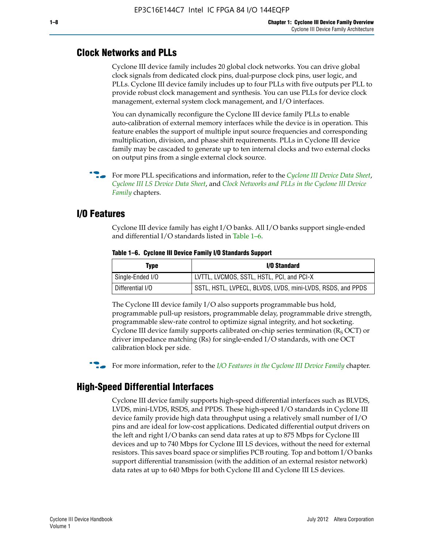#### **Clock Networks and PLLs**

Cyclone III device family includes 20 global clock networks. You can drive global clock signals from dedicated clock pins, dual-purpose clock pins, user logic, and PLLs. Cyclone III device family includes up to four PLLs with five outputs per PLL to provide robust clock management and synthesis. You can use PLLs for device clock management, external system clock management, and I/O interfaces.

You can dynamically reconfigure the Cyclone III device family PLLs to enable auto-calibration of external memory interfaces while the device is in operation. This feature enables the support of multiple input source frequencies and corresponding multiplication, division, and phase shift requirements. PLLs in Cyclone III device family may be cascaded to generate up to ten internal clocks and two external clocks on output pins from a single external clock source.

**For more PLL specifications and information, refer to the** *[Cyclone III Device Data Sheet](http://www.altera.com/literature/hb/cyc3/cyc3_ciii52001.pdf)***,** *[Cyclone III LS Device Data Sheet](http://www.altera.com/literature/hb/cyc3/cyc3_ciii52002.pdf)*, and *[Clock Networks and PLLs in the Cyclone III Device](http://www.altera.com/literature/hb/cyc3/cyc3_ciii51006.pdf)  [Family](http://www.altera.com/literature/hb/cyc3/cyc3_ciii51006.pdf)* chapters.

#### **I/O Features**

Cyclone III device family has eight I/O banks. All I/O banks support single-ended and differential I/O standards listed in Table 1–6.

| Type             | <b>I/O Standard</b>                                        |
|------------------|------------------------------------------------------------|
| Single-Ended I/O | LVTTL, LVCMOS, SSTL, HSTL, PCI, and PCI-X                  |
| Differential I/O | SSTL, HSTL, LVPECL, BLVDS, LVDS, mini-LVDS, RSDS, and PPDS |

**Table 1–6. Cyclone III Device Family I/O Standards Support** 

The Cyclone III device family I/O also supports programmable bus hold, programmable pull-up resistors, programmable delay, programmable drive strength, programmable slew-rate control to optimize signal integrity, and hot socketing. Cyclone III device family supports calibrated on-chip series termination ( $R_S$  OCT) or driver impedance matching (Rs) for single-ended I/O standards, with one OCT calibration block per side.

For more information, refer to the *[I/O Features in the Cyclone III Device Family](http://www.altera.com/literature/hb/cyc3/cyc3_ciii51007.pdf)* chapter.

#### **High-Speed Differential Interfaces**

Cyclone III device family supports high-speed differential interfaces such as BLVDS, LVDS, mini-LVDS, RSDS, and PPDS. These high-speed I/O standards in Cyclone III device family provide high data throughput using a relatively small number of I/O pins and are ideal for low-cost applications. Dedicated differential output drivers on the left and right I/O banks can send data rates at up to 875 Mbps for Cyclone III devices and up to 740 Mbps for Cyclone III LS devices, without the need for external resistors. This saves board space or simplifies PCB routing. Top and bottom I/O banks support differential transmission (with the addition of an external resistor network) data rates at up to 640 Mbps for both Cyclone III and Cyclone III LS devices.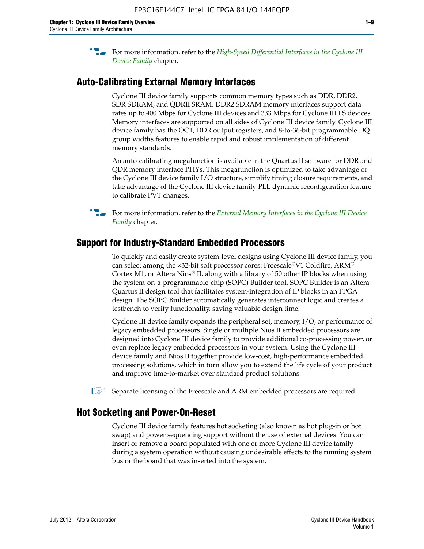**For more information, refer to the** *High-Speed Differential Interfaces in the Cyclone III* $\overline{a}$ *[Device Family](http://www.altera.com/literature/hb/cyc3/cyc3_ciii51008.pdf)* chapter.

#### **Auto-Calibrating External Memory Interfaces**

Cyclone III device family supports common memory types such as DDR, DDR2, SDR SDRAM, and QDRII SRAM. DDR2 SDRAM memory interfaces support data rates up to 400 Mbps for Cyclone III devices and 333 Mbps for Cyclone III LS devices. Memory interfaces are supported on all sides of Cyclone III device family. Cyclone III device family has the OCT, DDR output registers, and 8-to-36-bit programmable DQ group widths features to enable rapid and robust implementation of different memory standards.

An auto-calibrating megafunction is available in the Quartus II software for DDR and QDR memory interface PHYs. This megafunction is optimized to take advantage of the Cyclone III device family I/O structure, simplify timing closure requirements, and take advantage of the Cyclone III device family PLL dynamic reconfiguration feature to calibrate PVT changes.

**For more information, refer to the** *External Memory Interfaces in the Cyclone III Device [Family](http://www.altera.com/literature/hb/cyc3/cyc3_ciii51009.pdf)* chapter.

#### **Support for Industry-Standard Embedded Processors**

To quickly and easily create system-level designs using Cyclone III device family, you can select among the ×32-bit soft processor cores: Freescale®V1 Coldfire, ARM® Cortex M1, or Altera Nios® II, along with a library of 50 other IP blocks when using the system-on-a-programmable-chip (SOPC) Builder tool. SOPC Builder is an Altera Quartus II design tool that facilitates system-integration of IP blocks in an FPGA design. The SOPC Builder automatically generates interconnect logic and creates a testbench to verify functionality, saving valuable design time.

Cyclone III device family expands the peripheral set, memory, I/O, or performance of legacy embedded processors. Single or multiple Nios II embedded processors are designed into Cyclone III device family to provide additional co-processing power, or even replace legacy embedded processors in your system. Using the Cyclone III device family and Nios II together provide low-cost, high-performance embedded processing solutions, which in turn allow you to extend the life cycle of your product and improve time-to-market over standard product solutions.

 $\mathbb{I}$  Separate licensing of the Freescale and ARM embedded processors are required.

#### **Hot Socketing and Power-On-Reset**

Cyclone III device family features hot socketing (also known as hot plug-in or hot swap) and power sequencing support without the use of external devices. You can insert or remove a board populated with one or more Cyclone III device family during a system operation without causing undesirable effects to the running system bus or the board that was inserted into the system.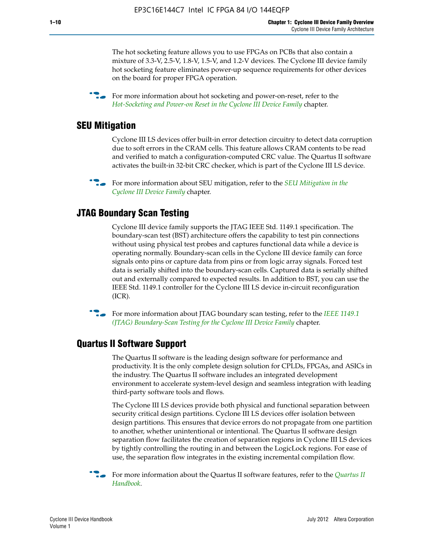The hot socketing feature allows you to use FPGAs on PCBs that also contain a mixture of 3.3-V, 2.5-V, 1.8-V, 1.5-V, and 1.2-V devices. The Cyclone III device family hot socketing feature eliminates power-up sequence requirements for other devices on the board for proper FPGA operation.

For more information about hot socketing and power-on-reset, refer to the *[Hot-Socketing and Power-on Reset in the Cyclone III Device Family](http://www.altera.com/literature/hb/cyc3/cyc3_ciii51011.pdf)* chapter.

#### **SEU Mitigation**

Cyclone III LS devices offer built-in error detection circuitry to detect data corruption due to soft errors in the CRAM cells. This feature allows CRAM contents to be read and verified to match a configuration-computed CRC value. The Quartus II software activates the built-in 32-bit CRC checker, which is part of the Cyclone III LS device.

**For more information about SEU mitigation, refer to the** *SEU Mitigation in the [Cyclone III Device Family](http://www.altera.com/literature/hb/cyc3/cyc3_ciii51013.pdf)* chapter.

#### **JTAG Boundary Scan Testing**

Cyclone III device family supports the JTAG IEEE Std. 1149.1 specification. The boundary-scan test (BST) architecture offers the capability to test pin connections without using physical test probes and captures functional data while a device is operating normally. Boundary-scan cells in the Cyclone III device family can force signals onto pins or capture data from pins or from logic array signals. Forced test data is serially shifted into the boundary-scan cells. Captured data is serially shifted out and externally compared to expected results. In addition to BST, you can use the IEEE Std. 1149.1 controller for the Cyclone III LS device in-circuit reconfiguration (ICR).

**f f**or more information about JTAG boundary scan testing, refer to the *IEEE* 1149.1 *[\(JTAG\) Boundary-Scan Testing for the Cyclone III Device Family](http://www.altera.com/literature/hb/cyc3/cyc3_ciii51014.pdf)* chapter.

#### **Quartus II Software Support**

The Quartus II software is the leading design software for performance and productivity. It is the only complete design solution for CPLDs, FPGAs, and ASICs in the industry. The Quartus II software includes an integrated development environment to accelerate system-level design and seamless integration with leading third-party software tools and flows.

The Cyclone III LS devices provide both physical and functional separation between security critical design partitions. Cyclone III LS devices offer isolation between design partitions. This ensures that device errors do not propagate from one partition to another, whether unintentional or intentional. The Quartus II software design separation flow facilitates the creation of separation regions in Cyclone III LS devices by tightly controlling the routing in and between the LogicLock regions. For ease of use, the separation flow integrates in the existing incremental compilation flow.

f For more information about the Quartus II software features, refer to the *[Quartus II](http://www.altera.com/literature/hb/qts/quartusii_handbook.pdf)  [Handbook](http://www.altera.com/literature/hb/qts/quartusii_handbook.pdf)*.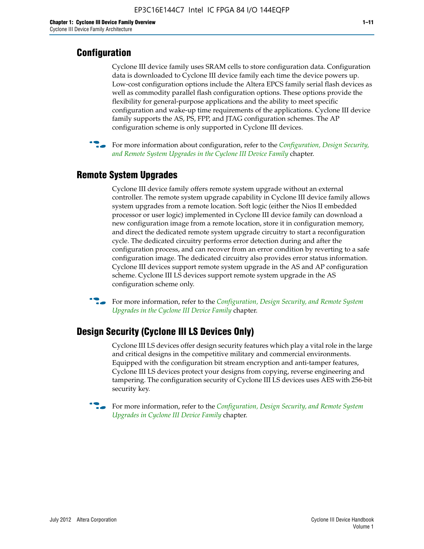#### **Configuration**

Cyclone III device family uses SRAM cells to store configuration data. Configuration data is downloaded to Cyclone III device family each time the device powers up. Low-cost configuration options include the Altera EPCS family serial flash devices as well as commodity parallel flash configuration options. These options provide the flexibility for general-purpose applications and the ability to meet specific configuration and wake-up time requirements of the applications. Cyclone III device family supports the AS, PS, FPP, and JTAG configuration schemes. The AP configuration scheme is only supported in Cyclone III devices.



f For more information about configuration, refer to the *[Configuration, Design Security,](http://www.altera.com/literature/hb/cyc3/cyc3_ciii51016.pdf)  [and Remote System Upgrades in the Cyclone III Device Family](http://www.altera.com/literature/hb/cyc3/cyc3_ciii51016.pdf)* chapter.

#### **Remote System Upgrades**

Cyclone III device family offers remote system upgrade without an external controller. The remote system upgrade capability in Cyclone III device family allows system upgrades from a remote location. Soft logic (either the Nios II embedded processor or user logic) implemented in Cyclone III device family can download a new configuration image from a remote location, store it in configuration memory, and direct the dedicated remote system upgrade circuitry to start a reconfiguration cycle. The dedicated circuitry performs error detection during and after the configuration process, and can recover from an error condition by reverting to a safe configuration image. The dedicated circuitry also provides error status information. Cyclone III devices support remote system upgrade in the AS and AP configuration scheme. Cyclone III LS devices support remote system upgrade in the AS configuration scheme only.

**For more information, refer to the** *Configuration, Design Security, and Remote System [Upgrades in the Cyclone III Device Family](http://www.altera.com/literature/hb/cyc3/cyc3_ciii51016.pdf)* chapter.

#### **Design Security (Cyclone III LS Devices Only)**

Cyclone III LS devices offer design security features which play a vital role in the large and critical designs in the competitive military and commercial environments. Equipped with the configuration bit stream encryption and anti-tamper features, Cyclone III LS devices protect your designs from copying, reverse engineering and tampering. The configuration security of Cyclone III LS devices uses AES with 256-bit security key.

f For more information, refer to the *[Configuration, Design Security, and Remote System](http://www.altera.com/literature/hb/cyc3/cyc3_ciii51016.pdf)  [Upgrades in Cyclone III Device Family](http://www.altera.com/literature/hb/cyc3/cyc3_ciii51016.pdf)* chapter.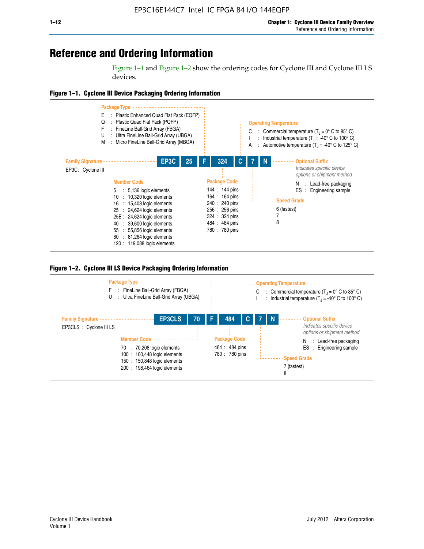## **Reference and Ordering Information**

Figure 1–1 and Figure 1–2 show the ordering codes for Cyclone III and Cyclone III LS devices.







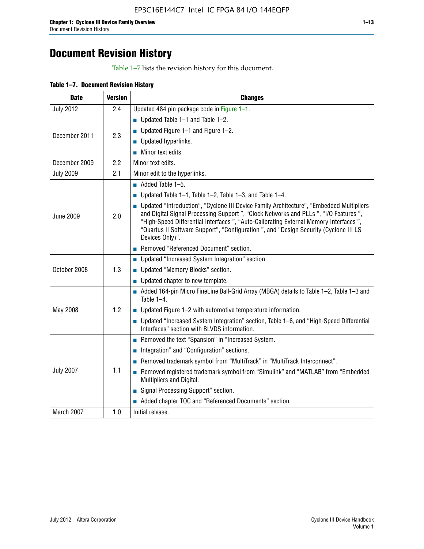# **Document Revision History**

Table 1–7 lists the revision history for this document.

| <b>Date</b>      | <b>Version</b> | <b>Changes</b>                                                                                                                                                                                                                                                                                                                                                                          |
|------------------|----------------|-----------------------------------------------------------------------------------------------------------------------------------------------------------------------------------------------------------------------------------------------------------------------------------------------------------------------------------------------------------------------------------------|
| <b>July 2012</b> | 2.4            | Updated 484 pin package code in Figure 1-1.                                                                                                                                                                                                                                                                                                                                             |
|                  |                | ■ Updated Table $1-1$ and Table $1-2$ .                                                                                                                                                                                                                                                                                                                                                 |
| December 2011    | 2.3            | ■ Updated Figure $1-1$ and Figure $1-2$ .                                                                                                                                                                                                                                                                                                                                               |
|                  |                | Updated hyperlinks.                                                                                                                                                                                                                                                                                                                                                                     |
|                  |                | Minor text edits.                                                                                                                                                                                                                                                                                                                                                                       |
| December 2009    | 2.2            | Minor text edits.                                                                                                                                                                                                                                                                                                                                                                       |
| <b>July 2009</b> | 2.1            | Minor edit to the hyperlinks.                                                                                                                                                                                                                                                                                                                                                           |
|                  |                | $\blacksquare$ Added Table 1-5.                                                                                                                                                                                                                                                                                                                                                         |
|                  |                | ■ Updated Table 1–1, Table 1–2, Table 1–3, and Table 1–4.                                                                                                                                                                                                                                                                                                                               |
| <b>June 2009</b> | 2.0            | • Updated "Introduction", "Cyclone III Device Family Architecture", "Embedded Multipliers<br>and Digital Signal Processing Support ", "Clock Networks and PLLs ", "I/O Features ",<br>"High-Speed Differential Interfaces ", "Auto-Calibrating External Memory Interfaces",<br>"Quartus II Software Support", "Configuration ", and "Design Security (Cyclone III LS<br>Devices Only)". |
|                  |                | Removed "Referenced Document" section.                                                                                                                                                                                                                                                                                                                                                  |
|                  |                | • Updated "Increased System Integration" section.                                                                                                                                                                                                                                                                                                                                       |
| October 2008     | 1.3            | Updated "Memory Blocks" section.                                                                                                                                                                                                                                                                                                                                                        |
|                  |                | • Updated chapter to new template.                                                                                                                                                                                                                                                                                                                                                      |
|                  |                | Added 164-pin Micro FineLine Ball-Grid Array (MBGA) details to Table 1-2, Table 1-3 and<br>Table $1-4$ .                                                                                                                                                                                                                                                                                |
| May 2008         | 1.2            | $\blacksquare$ Updated Figure 1-2 with automotive temperature information.                                                                                                                                                                                                                                                                                                              |
|                  |                | • Updated "Increased System Integration" section, Table 1-6, and "High-Speed Differential<br>Interfaces" section with BLVDS information.                                                                                                                                                                                                                                                |
|                  |                | Removed the text "Spansion" in "Increased System.                                                                                                                                                                                                                                                                                                                                       |
|                  |                | Integration" and "Configuration" sections.                                                                                                                                                                                                                                                                                                                                              |
|                  |                | Removed trademark symbol from "MultiTrack" in "MultiTrack Interconnect".                                                                                                                                                                                                                                                                                                                |
| <b>July 2007</b> | 1.1            | Removed registered trademark symbol from "Simulink" and "MATLAB" from "Embedded<br>Multipliers and Digital.                                                                                                                                                                                                                                                                             |
|                  |                | Signal Processing Support" section.                                                                                                                                                                                                                                                                                                                                                     |
|                  |                | Added chapter TOC and "Referenced Documents" section.                                                                                                                                                                                                                                                                                                                                   |
| March 2007       | 1.0            | Initial release.                                                                                                                                                                                                                                                                                                                                                                        |